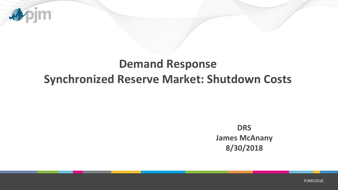

jm.

4

**DRS James McAnany 8/30/2018**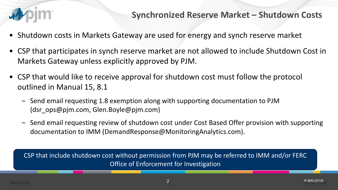

## **Synchronized Reserve Market – Shutdown Costs**

- Shutdown costs in Markets Gateway are used for energy and synch reserve market
- CSP that participates in synch reserve market are not allowed to include Shutdown Cost in Markets Gateway unless explicitly approved by PJM.
- CSP that would like to receive approval for shutdown cost must follow the protocol outlined in Manual 15, 8.1
	- ‒ Send email requesting 1.8 exemption along with supporting documentation to PJM (dsr\_ops@pjm.com, Glen.Boyle@pjm.com)
	- Send email requesting review of shutdown cost under Cost Based Offer provision with supporting documentation to IMM (DemandResponse@MonitoringAnalytics.com).

CSP that include shutdown cost without permission from PJM may be referred to IMM and/or FERC Office of Enforcement for Investigation